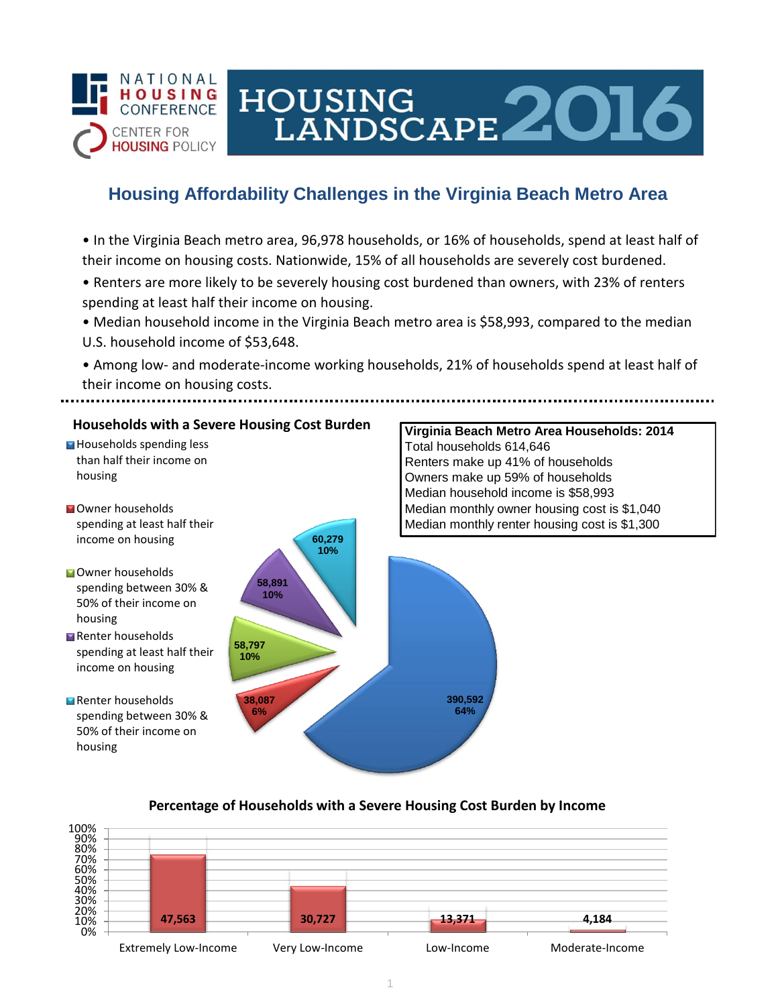

# **Housing Affordability Challenges in the Virginia Beach Metro Area**

HOUSING<br>LANDSCAPE 2016

- In the Virginia Beach metro area, 96,978 households, or 16% of households, spend at least half of their income on housing costs. Nationwide, 15% of all households are severely cost burdened.
- Renters are more likely to be severely housing cost burdened than owners, with 23% of renters spending at least half their income on housing.
- Median household income in the Virginia Beach metro area is \$58,993, compared to the median U.S. household income of \$53,648.
- Among low- and moderate-income working households, 21% of households spend at least half of their income on housing costs.



#### **Percentage of Households with a Severe Housing Cost Burden by Income**